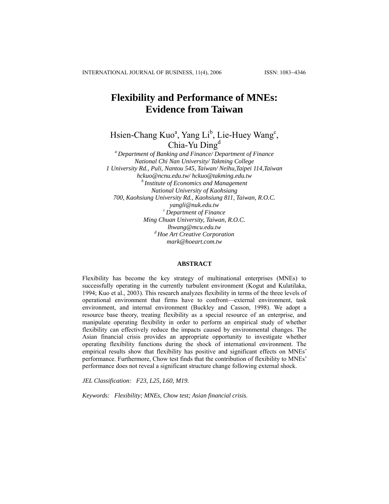# **Flexibility and Performance of MNEs: Evidence from Taiwan**

Hsien-Chang Kuo<sup>a</sup>, Yang Li<sup>b</sup>, Lie-Huey Wang<sup>c</sup>, Chia-Yu Dingd

*a Department of Banking and Finance/ Department of Finance National Chi Nan University/ Takming College 1 University Rd., Puli, Nantou 545, Taiwan/ Neihu,Taipei 114,Taiwan [hckuo@ncnu.edu.tw/](mailto:hckuo@ncnu.edu.tw/) [hckuo@takming.edu.tw](mailto:hckuo@takming.edu.tw) b Institute of Economics and Management National University of Kaohsiang 700, Kaohsiung University Rd., Kaohsiung 811, Taiwan, R.O.C. [yangli@nuk.edu.tw](mailto:yangli@nuk.edu.tw) c Department of Finance Ming Chuan University, Taiwan, R.O.C. lhwang@mcu.edu.tw d Hoe Art Creative Corporation mark@hoeart.com.tw* 

#### **ABSTRACT**

Flexibility has become the key strategy of multinational enterprises (MNEs) to successfully operating in the currently turbulent environment (Kogut and Kulatilaka, 1994; Kuo et al., 2003). This research analyzes flexibility in terms of the three levels of operational environment that firms have to confront—external environment, task environment, and internal environment (Buckley and Casson, 1998). We adopt a resource base theory, treating flexibility as a special resource of an enterprise, and manipulate operating flexibility in order to perform an empirical study of whether flexibility can effectively reduce the impacts caused by environmental changes. The Asian financial crisis provides an appropriate opportunity to investigate whether operating flexibility functions during the shock of international environment. The empirical results show that flexibility has positive and significant effects on MNEs' performance. Furthermore, Chow test finds that the contribution of flexibility to MNEs' performance does not reveal a significant structure change following external shock.

*JEL Classification: F23, L25, L60, M19.* 

*Keywords: Flexibility; MNEs, Chow test; Asian financial crisis.*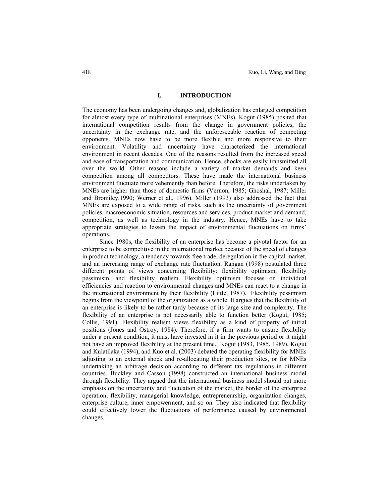## **I. INTRODUCTION**

The economy has been undergoing changes and, globalization has enlarged competition for almost every type of multinational enterprises (MNEs). Kogut (1985) posited that international competition results from the change in government policies, the uncertainty in the exchange rate, and the unforeseeable reaction of competing opponents. MNEs now have to be more flexible and more responsive to their environment. Volatility and uncertainty have characterized the international environment in recent decades. One of the reasons resulted from the increased speed and ease of transportation and communication. Hence, shocks are easily transmitted all over the world. Other reasons include a variety of market demands and keen competition among all competitors. These have made the international business environment fluctuate more vehemently than before. Therefore, the risks undertaken by MNEs are higher than those of domestic firms (Vernon, 1985; Ghoshal, 1987; Miller and Bromiley,1990; Werner et al., 1996). Miller (1993) also addressed the fact that MNEs are exposed to a wide range of risks, such as the uncertainty of government policies, macroeconomic situation, resources and services, product market and demand, competition, as well as technology in the industry. Hence, MNEs have to take appropriate strategies to lessen the impact of environmental fluctuations on firms' operations.

Since 1980s, the flexibility of an enterprise has become a pivotal factor for an enterprise to be competitive in the international market because of the speed of changes in product technology, a tendency towards free trade, deregulation in the capital market, and an increasing range of exchange rate fluctuation. Rangan (1998) postulated three different points of views concerning flexibility: flexibility optimism, flexibility pessimism, and flexibility realism. Flexibility optimism focuses on individual efficiencies and reaction to environmental changes and MNEs can react to a change in the international environment by their flexibility (Little, 1987). Flexibility pessimism begins from the viewpoint of the organization as a whole. It argues that the flexibility of an enterprise is likely to be rather tardy because of its large size and complexity. The flexibility of an enterprise is not necessarily able to function better (Kogut, 1985; Collis, 1991). Flexibility realism views flexibility as a kind of property of initial positions (Jones and Ostroy, 1984). Therefore, if a firm wants to ensure flexibility under a present condition, it must have invested in it in the previous period or it might not have an improved flexibility at the present time. Kogut (1983, 1985, 1989), Kogut and Kulatilaka (1994), and Kuo et al. (2003) debated the operating flexibility for MNEs adjusting to an external shock and re-allocating their production sites, or for MNEs undertaking an arbitrage decision according to different tax regulations in different countries. Buckley and Casson (1998) constructed an international business model through flexibility. They argued that the international business model should put more emphasis on the uncertainty and fluctuation of the market, the border of the enterprise operation, flexibility, managerial knowledge, entrepreneurship, organization changes, enterprise culture, inner empowerment, and so on. They also indicated that flexibility could effectively lower the fluctuations of performance caused by environmental changes.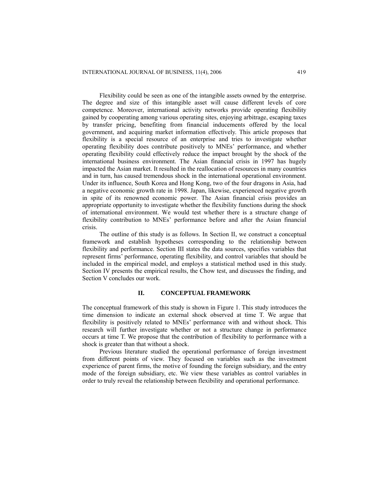Flexibility could be seen as one of the intangible assets owned by the enterprise. The degree and size of this intangible asset will cause different levels of core competence. Moreover, international activity networks provide operating flexibility gained by cooperating among various operating sites, enjoying arbitrage, escaping taxes by transfer pricing, benefiting from financial inducements offered by the local government, and acquiring market information effectively. This article proposes that flexibility is a special resource of an enterprise and tries to investigate whether operating flexibility does contribute positively to MNEs' performance, and whether operating flexibility could effectively reduce the impact brought by the shock of the international business environment. The Asian financial crisis in 1997 has hugely impacted the Asian market. It resulted in the reallocation of resources in many countries and in turn, has caused tremendous shock in the international operational environment. Under its influence, South Korea and Hong Kong, two of the four dragons in Asia, had a negative economic growth rate in 1998. Japan, likewise, experienced negative growth in spite of its renowned economic power. The Asian financial crisis provides an appropriate opportunity to investigate whether the flexibility functions during the shock of international environment. We would test whether there is a structure change of flexibility contribution to MNEs' performance before and after the Asian financial crisis.

The outline of this study is as follows. In Section II, we construct a conceptual framework and establish hypotheses corresponding to the relationship between flexibility and performance. Section III states the data sources, specifies variables that represent firms' performance, operating flexibility, and control variables that should be included in the empirical model, and employs a statistical method used in this study. Section IV presents the empirical results, the Chow test, and discusses the finding, and Section V concludes our work.

### **II. CONCEPTUAL FRAMEWORK**

The conceptual framework of this study is shown in Figure 1. This study introduces the time dimension to indicate an external shock observed at time T. We argue that flexibility is positively related to MNEs' performance with and without shock. This research will further investigate whether or not a structure change in performance occurs at time T. We propose that the contribution of flexibility to performance with a shock is greater than that without a shock.

Previous literature studied the operational performance of foreign investment from different points of view. They focused on variables such as the investment experience of parent firms, the motive of founding the foreign subsidiary, and the entry mode of the foreign subsidiary, etc. We view these variables as control variables in order to truly reveal the relationship between flexibility and operational performance.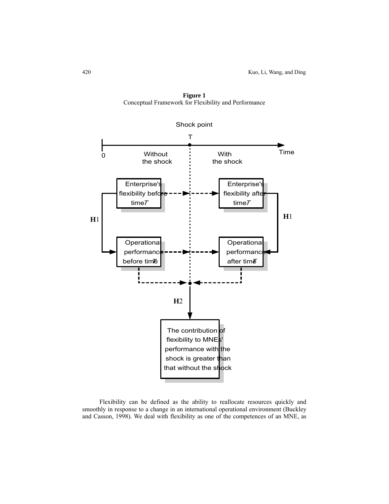

**Figure 1**  Conceptual Framework for Flexibility and Performance

Flexibility can be defined as the ability to reallocate resources quickly and smoothly in response to a change in an international operational environment (Buckley and Casson, 1998). We deal with flexibility as one of the competences of an MNE, as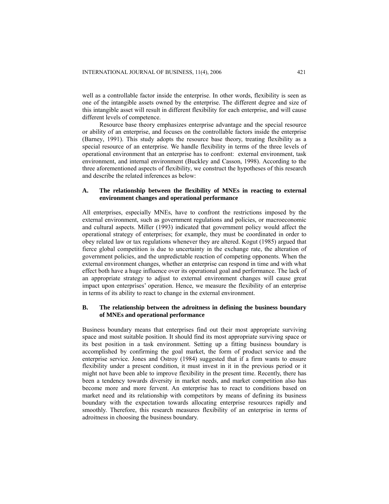well as a controllable factor inside the enterprise. In other words, flexibility is seen as one of the intangible assets owned by the enterprise. The different degree and size of this intangible asset will result in different flexibility for each enterprise, and will cause different levels of competence.

Resource base theory emphasizes enterprise advantage and the special resource or ability of an enterprise, and focuses on the controllable factors inside the enterprise (Barney, 1991). This study adopts the resource base theory, treating flexibility as a special resource of an enterprise. We handle flexibility in terms of the three levels of operational environment that an enterprise has to confront: external environment, task environment, and internal environment (Buckley and Casson, 1998). According to the three aforementioned aspects of flexibility, we construct the hypotheses of this research and describe the related inferences as below:

## **A. The relationship between the flexibility of MNEs in reacting to external environment changes and operational performance**

All enterprises, especially MNEs, have to confront the restrictions imposed by the external environment, such as government regulations and policies, or macroeconomic and cultural aspects. Miller (1993) indicated that government policy would affect the operational strategy of enterprises; for example, they must be coordinated in order to obey related law or tax regulations whenever they are altered. Kogut (1985) argued that fierce global competition is due to uncertainty in the exchange rate, the alteration of government policies, and the unpredictable reaction of competing opponents. When the external environment changes, whether an enterprise can respond in time and with what effect both have a huge influence over its operational goal and performance. The lack of an appropriate strategy to adjust to external environment changes will cause great impact upon enterprises' operation. Hence, we measure the flexibility of an enterprise in terms of its ability to react to change in the external environment.

## **B. The relationship between the adroitness in defining the business boundary of MNEs and operational performance**

Business boundary means that enterprises find out their most appropriate surviving space and most suitable position. It should find its most appropriate surviving space or its best position in a task environment. Setting up a fitting business boundary is accomplished by confirming the goal market, the form of product service and the enterprise service. Jones and Ostroy (1984) suggested that if a firm wants to ensure flexibility under a present condition, it must invest in it in the previous period or it might not have been able to improve flexibility in the present time. Recently, there has been a tendency towards diversity in market needs, and market competition also has become more and more fervent. An enterprise has to react to conditions based on market need and its relationship with competitors by means of defining its business boundary with the expectation towards allocating enterprise resources rapidly and smoothly. Therefore, this research measures flexibility of an enterprise in terms of adroitness in choosing the business boundary.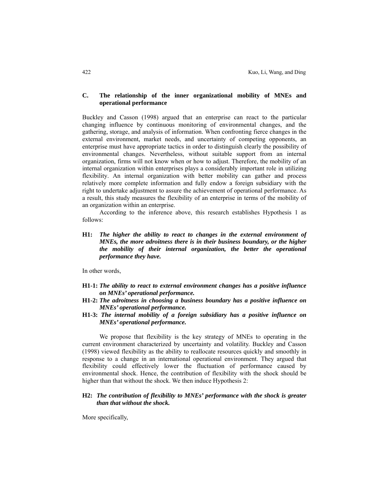## **C. The relationship of the inner organizational mobility of MNEs and operational performance**

Buckley and Casson (1998) argued that an enterprise can react to the particular changing influence by continuous monitoring of environmental changes, and the gathering, storage, and analysis of information. When confronting fierce changes in the external environment, market needs, and uncertainty of competing opponents, an enterprise must have appropriate tactics in order to distinguish clearly the possibility of environmental changes. Nevertheless, without suitable support from an internal organization, firms will not know when or how to adjust. Therefore, the mobility of an internal organization within enterprises plays a considerably important role in utilizing flexibility. An internal organization with better mobility can gather and process relatively more complete information and fully endow a foreign subsidiary with the right to undertake adjustment to assure the achievement of operational performance. As a result, this study measures the flexibility of an enterprise in terms of the mobility of an organization within an enterprise.

According to the inference above, this research establishes Hypothesis 1 as follows:

**H1:** *The higher the ability to react to changes in the external environment of MNEs, the more adroitness there is in their business boundary, or the higher the mobility of their internal organization, the better the operational performance they have.*

In other words,

- **H1-1:** *The ability to react to external environment changes has a positive influence on MNEs' operational performance.*
- **H1-2:** *The adroitness in choosing a business boundary has a positive influence on MNEs' operational performance.*
- **H1-3:** *The internal mobility of a foreign subsidiary has a positive influence on MNEs' operational performance.*

We propose that flexibility is the key strategy of MNEs to operating in the current environment characterized by uncertainty and volatility. Buckley and Casson (1998) viewed flexibility as the ability to reallocate resources quickly and smoothly in response to a change in an international operational environment. They argued that flexibility could effectively lower the fluctuation of performance caused by environmental shock. Hence, the contribution of flexibility with the shock should be higher than that without the shock. We then induce Hypothesis 2:

## **H2:** *The contribution of flexibility to MNEs' performance with the shock is greater than that without the shock.*

More specifically,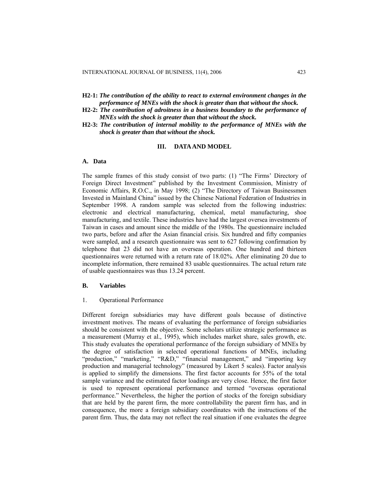- **H2-1:** *The contribution of the ability to react to external environment changes in the performance of MNEs with the shock is greater than that without the shock.*
- **H2-2:** *The contribution of adroitness in a business boundary to the performance of MNEs with the shock is greater than that without the shock.*
- **H2-3:** *The contribution of internal mobility to the performance of MNEs with the shock is greater than that without the shock.*

## **III. DATA AND MODEL**

#### **A. Data**

The sample frames of this study consist of two parts: (1) "The Firms' Directory of Foreign Direct Investment" published by the Investment Commission, Ministry of Economic Affairs, R.O.C., in May 1998; (2) "The Directory of Taiwan Businessmen Invested in Mainland China" issued by the Chinese National Federation of Industries in September 1998. A random sample was selected from the following industries: electronic and electrical manufacturing, chemical, metal manufacturing, shoe manufacturing, and textile. These industries have had the largest oversea investments of Taiwan in cases and amount since the middle of the 1980s. The questionnaire included two parts, before and after the Asian financial crisis. Six hundred and fifty companies were sampled, and a research questionnaire was sent to 627 following confirmation by telephone that 23 did not have an overseas operation. One hundred and thirteen questionnaires were returned with a return rate of 18.02%. After eliminating 20 due to incomplete information, there remained 83 usable questionnaires. The actual return rate of usable questionnaires was thus 13.24 percent.

#### **B. Variables**

#### 1. Operational Performance

Different foreign subsidiaries may have different goals because of distinctive investment motives. The means of evaluating the performance of foreign subsidiaries should be consistent with the objective. Some scholars utilize strategic performance as a measurement (Murray et al., 1995), which includes market share, sales growth, etc. This study evaluates the operational performance of the foreign subsidiary of MNEs by the degree of satisfaction in selected operational functions of MNEs, including "production," "marketing," "R&D," "financial management," and "importing key production and managerial technology" (measured by Likert 5 scales). Factor analysis is applied to simplify the dimensions. The first factor accounts for 55% of the total sample variance and the estimated factor loadings are very close. Hence, the first factor is used to represent operational performance and termed "overseas operational performance." Nevertheless, the higher the portion of stocks of the foreign subsidiary that are held by the parent firm, the more controllability the parent firm has, and in consequence, the more a foreign subsidiary coordinates with the instructions of the parent firm. Thus, the data may not reflect the real situation if one evaluates the degree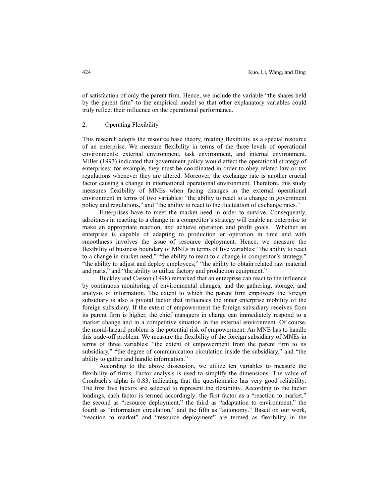of satisfaction of only the parent firm. Hence, we include the variable "the shares held by the parent firm" to the empirical model so that other explanatory variables could truly reflect their influence on the operational performance.

#### 2. Operating Flexibility

This research adopts the resource base theory, treating flexibility as a special resource of an enterprise. We measure flexibility in terms of the three levels of operational environments: external environment, task environment, and internal environment. Miller (1993) indicated that government policy would affect the operational strategy of enterprises; for example, they must be coordinated in order to obey related law or tax regulations whenever they are altered. Moreover, the exchange rate is another crucial factor causing a change in international operational environment. Therefore, this study measures flexibility of MNEs when facing changes in the external operational environment in terms of two variables: "the ability to react to a change in government policy and regulations," and "the ability to react to the fluctuation of exchange rates."

Enterprises have to meet the market need in order to survive. Consequently, adroitness in reacting to a change in a competitor's strategy will enable an enterprise to make an appropriate reaction, and achieve operation and profit goals. Whether an enterprise is capable of adapting to production or operation in time and with smoothness involves the issue of resource deployment. Hence, we measure the flexibility of business boundary of MNEs in terms of five variables: "the ability to react to a change in market need," "the ability to react to a change in competitor's strategy," "the ability to adjust and deploy employees," "the ability to obtain related raw material and parts," and "the ability to utilize factory and production equipment."

Buckley and Casson (1998) remarked that an enterprise can react to the influence by continuous monitoring of environmental changes, and the gathering, storage, and analysis of information. The extent to which the parent firm empowers the foreign subsidiary is also a pivotal factor that influences the inner enterprise mobility of the foreign subsidiary. If the extent of empowerment the foreign subsidiary receives from its parent firm is higher, the chief managers in charge can immediately respond to a market change and in a competitive situation in the external environment. Of course, the moral-hazard problem is the potential risk of empowerment. An MNE has to handle this trade-off problem. We measure the flexibility of the foreign subsidiary of MNEs in terms of three variables: "the extent of empowerment from the parent firm to its subsidiary," "the degree of communication circulation inside the subsidiary," and "the ability to gather and handle information."

According to the above disscusion, we utilize ten variables to measure the flexibility of firms. Factor analysis is used to simplify the dimensions. The value of Cronbach's alpha is 0.83, indicating that the questionnaire has very good reliability. The first five factors are selected to represent the flexibility. According to the factor loadings, each factor is termed accordingly: the first factor as a "reaction to market," the second as "resource deployment," the third as "adaptation to environment," the fourth as "information circulation," and the fifth as "autonomy." Based on our work, "reaction to market" and "resource deployment" are termed as flexibility in the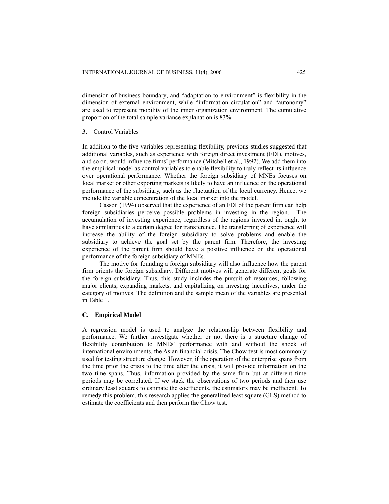dimension of business boundary, and "adaptation to environment" is flexibility in the dimension of external environment, while "information circulation" and "autonomy" are used to represent mobility of the inner organization environment. The cumulative proportion of the total sample variance explanation is 83%.

### 3. Control Variables

In addition to the five variables representing flexibility, previous studies suggested that additional variables, such as experience with foreign direct investment (FDI), motives, and so on, would influence firms' performance (Mitchell et al., 1992). We add them into the empirical model as control variables to enable flexibility to truly reflect its influence over operational performance. Whether the foreign subsidiary of MNEs focuses on local market or other exporting markets is likely to have an influence on the operational performance of the subsidiary, such as the fluctuation of the local currency. Hence, we include the variable concentration of the local market into the model.

Casson (1994) observed that the experience of an FDI of the parent firm can help foreign subsidiaries perceive possible problems in investing in the region. The accumulation of investing experience, regardless of the regions invested in, ought to have similarities to a certain degree for transference. The transferring of experience will increase the ability of the foreign subsidiary to solve problems and enable the subsidiary to achieve the goal set by the parent firm. Therefore, the investing experience of the parent firm should have a positive influence on the operational performance of the foreign subsidiary of MNEs.

The motive for founding a foreign subsidiary will also influence how the parent firm orients the foreign subsidiary. Different motives will generate different goals for the foreign subsidiary. Thus, this study includes the pursuit of resources, following major clients, expanding markets, and capitalizing on investing incentives, under the category of motives. The definition and the sample mean of the variables are presented in Table 1.

## **C. Empirical Model**

A regression model is used to analyze the relationship between flexibility and performance. We further investigate whether or not there is a structure change of flexibility contribution to MNEs' performance with and without the shock of international environments, the Asian financial crisis. The Chow test is most commonly used for testing structure change. However, if the operation of the enterprise spans from the time prior the crisis to the time after the crisis, it will provide information on the two time spans. Thus, information provided by the same firm but at different time periods may be correlated. If we stack the observations of two periods and then use ordinary least squares to estimate the coefficients, the estimators may be inefficient. To remedy this problem, this research applies the generalized least square (GLS) method to estimate the coefficients and then perform the Chow test.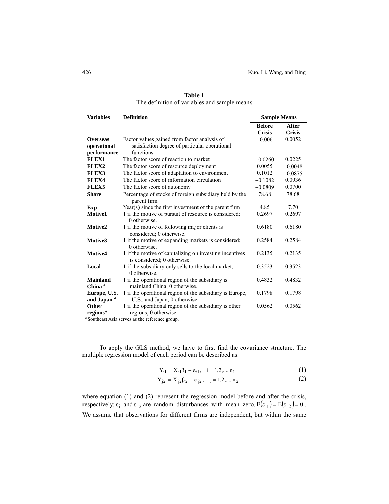| <b>Variables</b>                      | <b>Definition</b>                                                                      |               | <b>Sample Means</b> |  |
|---------------------------------------|----------------------------------------------------------------------------------------|---------------|---------------------|--|
|                                       |                                                                                        | <b>Before</b> | After               |  |
|                                       |                                                                                        | <b>Crisis</b> | <b>Crisis</b>       |  |
| <b>Overseas</b>                       | Factor values gained from factor analysis of                                           | $-0.006$      | 0.0052              |  |
| operational                           | satisfaction degree of particular operational                                          |               |                     |  |
| performance                           | functions                                                                              |               |                     |  |
| FLEX1                                 | The factor score of reaction to market                                                 | $-0.0260$     | 0.0225              |  |
| FLEX2                                 | The factor score of resource deployment                                                | 0.0055        | $-0.0048$           |  |
| FLEX3                                 | The factor score of adaptation to environment                                          | 0.1012        | $-0.0875$           |  |
| FLEX4                                 | The factor score of information circulation                                            | $-0.1082$     | 0.0936              |  |
| FLEX5                                 | The factor score of autonomy                                                           | $-0.0809$     | 0.0700              |  |
| <b>Share</b>                          | Percentage of stocks of foreign subsidiary held by the<br>parent firm                  | 78.68         | 78.68               |  |
| Exp                                   | Year(s) since the first investment of the parent firm                                  | 4.85          | 7.70                |  |
| Motive1                               | 1 if the motive of pursuit of resource is considered;<br>$0$ otherwise.                | 0.2697        | 0.2697              |  |
| Motive2                               | 1 if the motive of following major clients is<br>considered; 0 otherwise.              | 0.6180        | 0.6180              |  |
| Motive3                               | 1 if the motive of expanding markets is considered;<br>$0$ otherwise.                  | 0.2584        | 0.2584              |  |
| Motive4                               | 1 if the motive of capitalizing on investing incentives<br>is considered; 0 otherwise. | 0.2135        | 0.2135              |  |
| Local                                 | 1 if the subsidiary only sells to the local market;<br>$0$ otherwise.                  | 0.3523        | 0.3523              |  |
| <b>Mainland</b><br>China <sup>a</sup> | 1 if the operational region of the subsidiary is<br>mainland China; 0 otherwise.       | 0.4832        | 0.4832              |  |
| Europe, U.S.                          | 1 if the operational region of the subsidiary is Europe,                               | 0.1798        | 0.1798              |  |
| and Japan <sup>a</sup>                | U.S., and Japan; 0 otherwise.                                                          |               |                     |  |
| Other                                 | 1 if the operational region of the subsidiary is other                                 | 0.0562        | 0.0562              |  |
| regions*                              | regions; 0 otherwise.                                                                  |               |                     |  |

**Table 1**  The definition of variables and sample means

\*Southeast Asia serves as the reference group.

To apply the GLS method, we have to first find the covariance structure. The multiple regression model of each period can be described as:

$$
Y_{i1} = X_{i1}\beta_1 + \varepsilon_{i1}, \quad i = 1, 2, ..., n_1
$$
 (1)

$$
Y_{j2} = X_{j2}\beta_2 + \varepsilon_{j2}, \quad j = 1, 2, ..., n_2
$$
 (2)

where equation (1) and (2) represent the regression model before and after the crisis, respectively;  $\varepsilon_{i1}$  and  $\varepsilon_{j2}$  are random disturbances with mean zero,  $E(\varepsilon_{i1}) = E(\varepsilon_{j2}) = 0$ . We assume that observations for different firms are independent, but within the same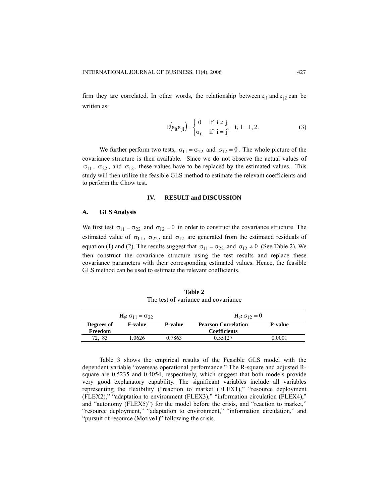firm they are correlated. In other words, the relationship between  $\varepsilon_{i1}$  and  $\varepsilon_{j2}$  can be written as:

$$
E(\varepsilon_{it}\varepsilon_{jl}) = \begin{cases} 0 & \text{if } i \neq j \\ \sigma_{tl} & \text{if } i = j' \end{cases} \quad t, l = 1, 2. \tag{3}
$$

We further perform two tests,  $\sigma_{11} = \sigma_{22}$  and  $\sigma_{12} = 0$ . The whole picture of the covariance structure is then available. Since we do not observe the actual values of  $\sigma_{11}$ ,  $\sigma_{22}$ , and  $\sigma_{12}$ , these values have to be replaced by the estimated values. This study will then utilize the feasible GLS method to estimate the relevant coefficients and to perform the Chow test.

#### **IV. RESULT and DISCUSSION**

### **A. GLS Analysis**

We first test  $\sigma_{11} = \sigma_{22}$  and  $\sigma_{12} = 0$  in order to construct the covariance structure. The estimated value of  $\sigma_{11}$ ,  $\sigma_{22}$ , and  $\sigma_{12}$  are generated from the estimated residuals of equation (1) and (2). The results suggest that  $\sigma_{11} = \sigma_{22}$  and  $\sigma_{12} \neq 0$  (See Table 2). We then construct the covariance structure using the test results and replace these covariance parameters with their corresponding estimated values. Hence, the feasible GLS method can be used to estimate the relevant coefficients.

**Table 2**  The test of variance and covariance

| $H_0: \sigma_{11} = \sigma_{22}$ |                |                | $H_0: \sigma_{12} = 0$     |                |  |
|----------------------------------|----------------|----------------|----------------------------|----------------|--|
| Degrees of                       | <b>F-value</b> | <b>P-value</b> | <b>Pearson Correlation</b> | <b>P-value</b> |  |
| Freedom                          |                |                | <b>Coefficients</b>        |                |  |
| 72, 83                           | 1.0626         | 0.7863         | 0.55127                    | 0.0001         |  |

Table 3 shows the empirical results of the Feasible GLS model with the dependent variable "overseas operational performance." The R-square and adjusted Rsquare are 0.5235 and 0.4054, respectively, which suggest that both models provide very good explanatory capability. The significant variables include all variables representing the flexibility ("reaction to market (FLEX1)," "resource deployment (FLEX2)," "adaptation to environment (FLEX3)," "information circulation (FLEX4)," and "autonomy (FLEX5)") for the model before the crisis, and "reaction to market," "resource deployment," "adaptation to environment," "information circulation," and "pursuit of resource (Motive1)" following the crisis.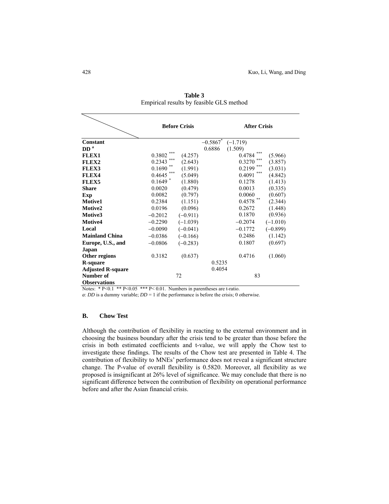|                          |               | <b>Before Crisis</b> |                        | <b>After Crisis</b> |            |
|--------------------------|---------------|----------------------|------------------------|---------------------|------------|
|                          |               |                      |                        |                     |            |
| Constant                 |               |                      | $-0.5867$ <sup>*</sup> | $(-1.719)$          |            |
| DD <sup>a</sup>          |               |                      | 0.6886                 | (1.509)             |            |
| FLEX1                    | ***<br>0.3802 | (4.257)              |                        | ***<br>0.4784       | (5.966)    |
| FLEX2                    | ***<br>0.2343 | (2.643)              |                        | ***<br>0.3270       | (3.857)    |
| FLEX3                    | **<br>0.1690  | (1.991)              |                        | ***<br>0.2199       | (3.031)    |
| FLEX4                    | 0.4645        | (5.049)              |                        | ***<br>0.4091       | (4.842)    |
| FLEX5                    | $0.1649$ *    | (1.880)              |                        | 0.1278              | (1.413)    |
| <b>Share</b>             | 0.0020        | (0.479)              |                        | 0.0013              | (0.335)    |
| Exp                      | 0.0082        | (0.797)              |                        | 0.0060              | (0.607)    |
| Motive1                  | 0.2384        | (1.151)              |                        | $0.4578$ **         | (2.344)    |
| Motive2                  | 0.0196        | (0.096)              |                        | 0.2672              | (1.448)    |
| Motive3                  | $-0.2012$     | $(-0.911)$           |                        | 0.1870              | (0.936)    |
| Motive4                  | $-0.2290$     | $(-1.039)$           |                        | $-0.2074$           | $(-1.010)$ |
| Local                    | $-0.0090$     | $(-0.041)$           |                        | $-0.1772$           | $(-0.899)$ |
| <b>Mainland China</b>    | $-0.0386$     | $(-0.166)$           |                        | 0.2486              | (1.142)    |
| Europe, U.S., and        | $-0.0806$     | $(-0.283)$           |                        | 0.1807              | (0.697)    |
| Japan                    |               |                      |                        |                     |            |
| Other regions            | 0.3182        | (0.637)              |                        | 0.4716              | (1.060)    |
| <b>R-square</b>          |               |                      | 0.5235                 |                     |            |
| <b>Adjusted R-square</b> |               |                      | 0.4054                 |                     |            |
| Number of                |               | 72                   |                        | 83                  |            |
| <b>Observations</b>      |               |                      |                        |                     |            |

**Table 3**  Empirical results by feasible GLS method

Notes: \* P<0.1 \*\* P<0.05 \*\*\* P<0.01. Numbers in parentheses are t-ratio.

*a*: *DD* is a dummy variable;  $DD = 1$  if the performance is before the crisis; 0 otherwise.

## **B. Chow Test**

Although the contribution of flexibility in reacting to the external environment and in choosing the business boundary after the crisis tend to be greater than those before the crisis in both estimated coefficients and t-value, we will apply the Chow test to investigate these findings. The results of the Chow test are presented in Table 4. The contribution of flexibility to MNEs' performance does not reveal a significant structure change. The P-value of overall flexibility is 0.5820. Moreover, all flexibility as we proposed is insignificant at 26% level of significance. We may conclude that there is no significant difference between the contribution of flexibility on operational performance before and after the Asian financial crisis.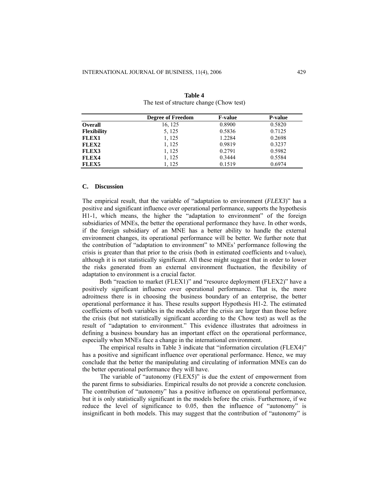|                    | <b>Degree of Freedom</b> | <b>F-value</b> | <b>P-value</b> |
|--------------------|--------------------------|----------------|----------------|
| <b>Overall</b>     | 16, 125                  | 0.8900         | 0.5820         |
| <b>Flexibility</b> | 5, 125                   | 0.5836         | 0.7125         |
| <b>FLEX1</b>       | 1, 125                   | 1.2284         | 0.2698         |
| FLEX2              | 1, 125                   | 0.9819         | 0.3237         |
| <b>FLEX3</b>       | 1, 125                   | 0.2791         | 0.5982         |
| FLEX4              | 1, 125                   | 0.3444         | 0.5584         |
| FLEX5              | 1.125                    | 0.1519         | 0.6974         |

**Table 4**  The test of structure change (Chow test)

#### **C. Discussion**

The empirical result, that the variable of "adaptation to environment (*FLEX3*)" has a positive and significant influence over operational performance, supports the hypothesis H1-1, which means, the higher the "adaptation to environment" of the foreign subsidiaries of MNEs, the better the operational performance they have. In other words, if the foreign subsidiary of an MNE has a better ability to handle the external environment changes, its operational performance will be better. We further note that the contribution of "adaptation to environment" to MNEs' performance following the crisis is greater than that prior to the crisis (both in estimated coefficients and t-value), although it is not statistically significant. All these might suggest that in order to lower the risks generated from an external environment fluctuation, the flexibility of adaptation to environment is a crucial factor.

Both "reaction to market (FLEX1)" and "resource deployment (FLEX2)" have a positively significant influence over operational performance. That is, the more adroitness there is in choosing the business boundary of an enterprise, the better operational performance it has. These results support Hypothesis H1-2. The estimated coefficients of both variables in the models after the crisis are larger than those before the crisis (but not statistically significant according to the Chow test) as well as the result of "adaptation to environment." This evidence illustrates that adroitness in defining a business boundary has an important effect on the operational performance, especially when MNEs face a change in the international environment.

The empirical results in Table 3 indicate that "information circulation (FLEX4)" has a positive and significant influence over operational performance. Hence, we may conclude that the better the manipulating and circulating of information MNEs can do the better operational performance they will have.

The variable of "autonomy (FLEX5)" is due the extent of empowerment from the parent firms to subsidiaries. Empirical results do not provide a concrete conclusion. The contribution of "autonomy" has a positive influence on operational performance, but it is only statistically significant in the models before the crisis. Furthermore, if we reduce the level of significance to 0.05, then the influence of "autonomy" is insignificant in both models. This may suggest that the contribution of "autonomy" is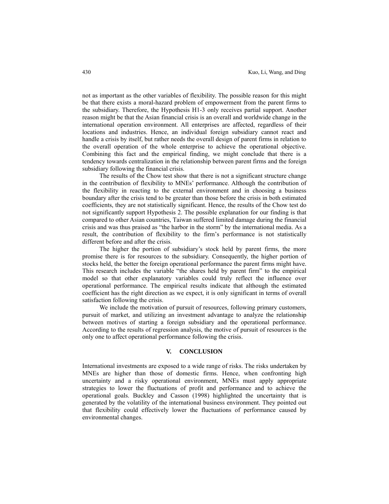not as important as the other variables of flexibility. The possible reason for this might be that there exists a moral-hazard problem of empowerment from the parent firms to the subsidiary. Therefore, the Hypothesis H1-3 only receives partial support. Another reason might be that the Asian financial crisis is an overall and worldwide change in the international operation environment. All enterprises are affected, regardless of their locations and industries. Hence, an individual foreign subsidiary cannot react and handle a crisis by itself, but rather needs the overall design of parent firms in relation to the overall operation of the whole enterprise to achieve the operational objective. Combining this fact and the empirical finding, we might conclude that there is a tendency towards centralization in the relationship between parent firms and the foreign subsidiary following the financial crisis.

The results of the Chow test show that there is not a significant structure change in the contribution of flexibility to MNEs' performance. Although the contribution of the flexibility in reacting to the external environment and in choosing a business boundary after the crisis tend to be greater than those before the crisis in both estimated coefficients, they are not statistically significant. Hence, the results of the Chow test do not significantly support Hypothesis 2. The possible explanation for our finding is that compared to other Asian countries, Taiwan suffered limited damage during the financial crisis and was thus praised as "the harbor in the storm" by the international media. As a result, the contribution of flexibility to the firm's performance is not statistically different before and after the crisis.

The higher the portion of subsidiary's stock held by parent firms, the more promise there is for resources to the subsidiary. Consequently, the higher portion of stocks held, the better the foreign operational performance the parent firms might have. This research includes the variable "the shares held by parent firm" to the empirical model so that other explanatory variables could truly reflect the influence over operational performance. The empirical results indicate that although the estimated coefficient has the right direction as we expect, it is only significant in terms of overall satisfaction following the crisis.

We include the motivation of pursuit of resources, following primary customers, pursuit of market, and utilizing an investment advantage to analyze the relationship between motives of starting a foreign subsidiary and the operational performance. According to the results of regression analysis, the motive of pursuit of resources is the only one to affect operational performance following the crisis.

#### **V. CONCLUSION**

International investments are exposed to a wide range of risks. The risks undertaken by MNEs are higher than those of domestic firms. Hence, when confronting high uncertainty and a risky operational environment, MNEs must apply appropriate strategies to lower the fluctuations of profit and performance and to achieve the operational goals. Buckley and Casson (1998) highlighted the uncertainty that is generated by the volatility of the international business environment. They pointed out that flexibility could effectively lower the fluctuations of performance caused by environmental changes.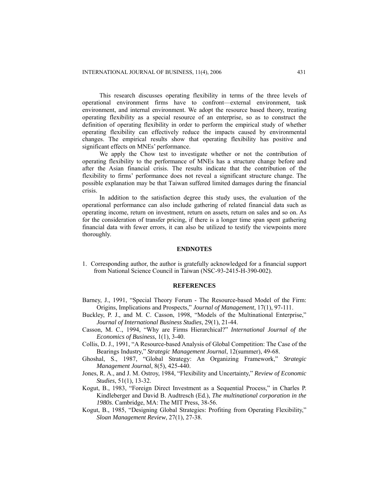This research discusses operating flexibility in terms of the three levels of operational environment firms have to confront—external environment, task environment, and internal environment. We adopt the resource based theory, treating operating flexibility as a special resource of an enterprise, so as to construct the definition of operating flexibility in order to perform the empirical study of whether operating flexibility can effectively reduce the impacts caused by environmental changes. The empirical results show that operating flexibility has positive and significant effects on MNEs' performance.

We apply the Chow test to investigate whether or not the contribution of operating flexibility to the performance of MNEs has a structure change before and after the Asian financial crisis. The results indicate that the contribution of the flexibility to firms' performance does not reveal a significant structure change. The possible explanation may be that Taiwan suffered limited damages during the financial crisis.

In addition to the satisfaction degree this study uses, the evaluation of the operational performance can also include gathering of related financial data such as operating income, return on investment, return on assets, return on sales and so on. As for the consideration of transfer pricing, if there is a longer time span spent gathering financial data with fewer errors, it can also be utilized to testify the viewpoints more thoroughly.

#### **ENDNOTES**

1. Corresponding author, the author is gratefully acknowledged for a financial support from National Science Council in Taiwan (NSC-93-2415-H-390-002).

#### **REFERENCES**

- Barney, J., 1991, "Special Theory Forum The Resource-based Model of the Firm: Origins, Implications and Prospects," *Journal of Management*, 17(1), 97-111.
- Buckley, P. J., and M. C. Casson, 1998, "Models of the Multinational Enterprise," *Journal of International Business Studies*, 29(1), 21-44.
- Casson, M. C., 1994, "Why are Firms Hierarchical?" *International Journal of the Economics of Business*, 1(1), 3-40.
- Collis, D. J., 1991, "A Resource-based Analysis of Global Competition: The Case of the Bearings Industry," *Strategic Management Journal*, 12(summer), 49-68.
- Ghoshal, S., 1987, "Global Strategy: An Organizing Framework," *Strategic Management Journal*, 8(5), 425-440.
- Jones, R. A., and J. M. Ostroy, 1984, "Flexibility and Uncertainty," *Review of Economic Studies*, 51(1), 13-32.
- Kogut, B., 1983, "Foreign Direct Investment as a Sequential Process," in Charles P. Kindleberger and David B. Audtresch (Ed.), *The multinational corporation in the 1980s*. Cambridge, MA: The MIT Press, 38-56.
- Kogut, B., 1985, "Designing Global Strategies: Profiting from Operating Flexibility," *Sloan Management Review*, 27(1), 27-38.